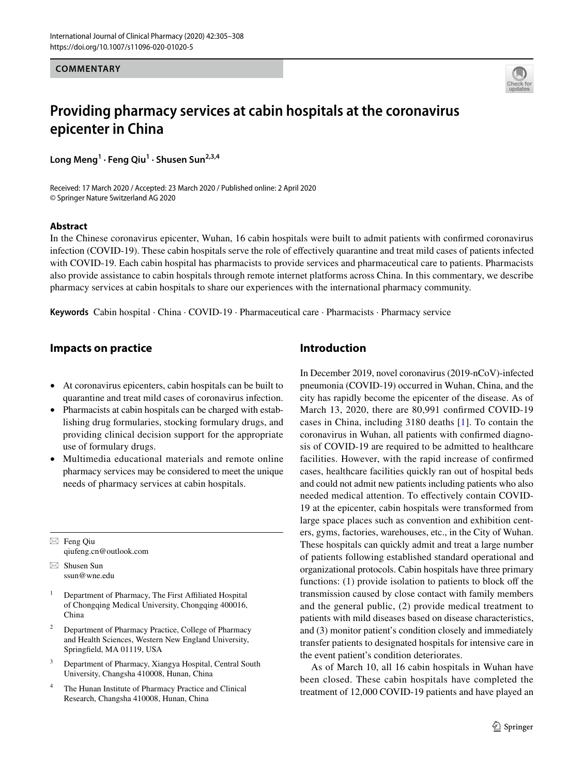**COMMENTARY**



# **Providing pharmacy services at cabin hospitals at the coronavirus epicenter in China**

**Long Meng1 · Feng Qiu1 · Shusen Sun2,3,4**

Received: 17 March 2020 / Accepted: 23 March 2020 / Published online: 2 April 2020 © Springer Nature Switzerland AG 2020

#### **Abstract**

In the Chinese coronavirus epicenter, Wuhan, 16 cabin hospitals were built to admit patients with confrmed coronavirus infection (COVID-19). These cabin hospitals serve the role of efectively quarantine and treat mild cases of patients infected with COVID-19. Each cabin hospital has pharmacists to provide services and pharmaceutical care to patients. Pharmacists also provide assistance to cabin hospitals through remote internet platforms across China. In this commentary, we describe pharmacy services at cabin hospitals to share our experiences with the international pharmacy community.

**Keywords** Cabin hospital · China · COVID-19 · Pharmaceutical care · Pharmacists · Pharmacy service

#### **Impacts on practice**

- At coronavirus epicenters, cabin hospitals can be built to quarantine and treat mild cases of coronavirus infection.
- Pharmacists at cabin hospitals can be charged with establishing drug formularies, stocking formulary drugs, and providing clinical decision support for the appropriate use of formulary drugs.
- Multimedia educational materials and remote online pharmacy services may be considered to meet the unique needs of pharmacy services at cabin hospitals.

 $\boxtimes$  Feng Qiu qiufeng.cn@outlook.com

 $\boxtimes$  Shusen Sun ssun@wne.edu

- <sup>1</sup> Department of Pharmacy, The First Affiliated Hospital of Chongqing Medical University, Chongqing 400016, China
- <sup>2</sup> Department of Pharmacy Practice, College of Pharmacy and Health Sciences, Western New England University, Springfeld, MA 01119, USA
- <sup>3</sup> Department of Pharmacy, Xiangya Hospital, Central South University, Changsha 410008, Hunan, China
- <sup>4</sup> The Hunan Institute of Pharmacy Practice and Clinical Research, Changsha 410008, Hunan, China

## **Introduction**

In December 2019, novel coronavirus (2019-nCoV)-infected pneumonia (COVID-19) occurred in Wuhan, China, and the city has rapidly become the epicenter of the disease. As of March 13, 2020, there are 80,991 confrmed COVID-19 cases in China, including 3180 deaths [[1](#page-3-0)]. To contain the coronavirus in Wuhan, all patients with confrmed diagnosis of COVID-19 are required to be admitted to healthcare facilities. However, with the rapid increase of confrmed cases, healthcare facilities quickly ran out of hospital beds and could not admit new patients including patients who also needed medical attention. To efectively contain COVID-19 at the epicenter, cabin hospitals were transformed from large space places such as convention and exhibition centers, gyms, factories, warehouses, etc., in the City of Wuhan. These hospitals can quickly admit and treat a large number of patients following established standard operational and organizational protocols. Cabin hospitals have three primary functions:  $(1)$  provide isolation to patients to block off the transmission caused by close contact with family members and the general public, (2) provide medical treatment to patients with mild diseases based on disease characteristics, and (3) monitor patient's condition closely and immediately transfer patients to designated hospitals for intensive care in the event patient's condition deteriorates.

As of March 10, all 16 cabin hospitals in Wuhan have been closed. These cabin hospitals have completed the treatment of 12,000 COVID-19 patients and have played an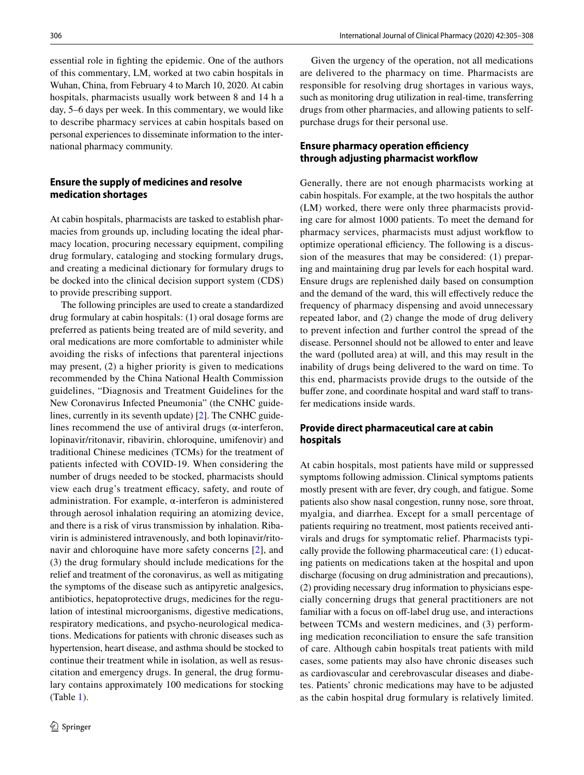essential role in fghting the epidemic. One of the authors of this commentary, LM, worked at two cabin hospitals in Wuhan, China, from February 4 to March 10, 2020. At cabin hospitals, pharmacists usually work between 8 and 14 h a day, 5–6 days per week. In this commentary, we would like to describe pharmacy services at cabin hospitals based on personal experiences to disseminate information to the international pharmacy community.

#### **Ensure the supply of medicines and resolve medication shortages**

At cabin hospitals, pharmacists are tasked to establish pharmacies from grounds up, including locating the ideal pharmacy location, procuring necessary equipment, compiling drug formulary, cataloging and stocking formulary drugs, and creating a medicinal dictionary for formulary drugs to be docked into the clinical decision support system (CDS) to provide prescribing support.

The following principles are used to create a standardized drug formulary at cabin hospitals: (1) oral dosage forms are preferred as patients being treated are of mild severity, and oral medications are more comfortable to administer while avoiding the risks of infections that parenteral injections may present, (2) a higher priority is given to medications recommended by the China National Health Commission guidelines, "Diagnosis and Treatment Guidelines for the New Coronavirus Infected Pneumonia" (the CNHC guidelines, currently in its seventh update) [[2\]](#page-3-1). The CNHC guidelines recommend the use of antiviral drugs ( $\alpha$ -interferon, lopinavir/ritonavir, ribavirin, chloroquine, umifenovir) and traditional Chinese medicines (TCMs) for the treatment of patients infected with COVID-19. When considering the number of drugs needed to be stocked, pharmacists should view each drug's treatment efficacy, safety, and route of administration. For example, α-interferon is administered through aerosol inhalation requiring an atomizing device, and there is a risk of virus transmission by inhalation. Ribavirin is administered intravenously, and both lopinavir/ritonavir and chloroquine have more safety concerns [\[2](#page-3-1)], and (3) the drug formulary should include medications for the relief and treatment of the coronavirus, as well as mitigating the symptoms of the disease such as antipyretic analgesics, antibiotics, hepatoprotective drugs, medicines for the regulation of intestinal microorganisms, digestive medications, respiratory medications, and psycho-neurological medications. Medications for patients with chronic diseases such as hypertension, heart disease, and asthma should be stocked to continue their treatment while in isolation, as well as resuscitation and emergency drugs. In general, the drug formulary contains approximately 100 medications for stocking (Table [1\)](#page-2-0).

Given the urgency of the operation, not all medications are delivered to the pharmacy on time. Pharmacists are responsible for resolving drug shortages in various ways, such as monitoring drug utilization in real-time, transferring drugs from other pharmacies, and allowing patients to selfpurchase drugs for their personal use.

#### **Ensure pharmacy operation efficiency through adjusting pharmacist workfow**

Generally, there are not enough pharmacists working at cabin hospitals. For example, at the two hospitals the author (LM) worked, there were only three pharmacists providing care for almost 1000 patients. To meet the demand for pharmacy services, pharmacists must adjust workfow to optimize operational efficiency. The following is a discussion of the measures that may be considered: (1) preparing and maintaining drug par levels for each hospital ward. Ensure drugs are replenished daily based on consumption and the demand of the ward, this will efectively reduce the frequency of pharmacy dispensing and avoid unnecessary repeated labor, and (2) change the mode of drug delivery to prevent infection and further control the spread of the disease. Personnel should not be allowed to enter and leave the ward (polluted area) at will, and this may result in the inability of drugs being delivered to the ward on time. To this end, pharmacists provide drugs to the outside of the buffer zone, and coordinate hospital and ward staff to transfer medications inside wards.

### **Provide direct pharmaceutical care at cabin hospitals**

At cabin hospitals, most patients have mild or suppressed symptoms following admission. Clinical symptoms patients mostly present with are fever, dry cough, and fatigue. Some patients also show nasal congestion, runny nose, sore throat, myalgia, and diarrhea. Except for a small percentage of patients requiring no treatment, most patients received antivirals and drugs for symptomatic relief. Pharmacists typically provide the following pharmaceutical care: (1) educating patients on medications taken at the hospital and upon discharge (focusing on drug administration and precautions), (2) providing necessary drug information to physicians especially concerning drugs that general practitioners are not familiar with a focus on off-label drug use, and interactions between TCMs and western medicines, and (3) performing medication reconciliation to ensure the safe transition of care. Although cabin hospitals treat patients with mild cases, some patients may also have chronic diseases such as cardiovascular and cerebrovascular diseases and diabetes. Patients' chronic medications may have to be adjusted as the cabin hospital drug formulary is relatively limited.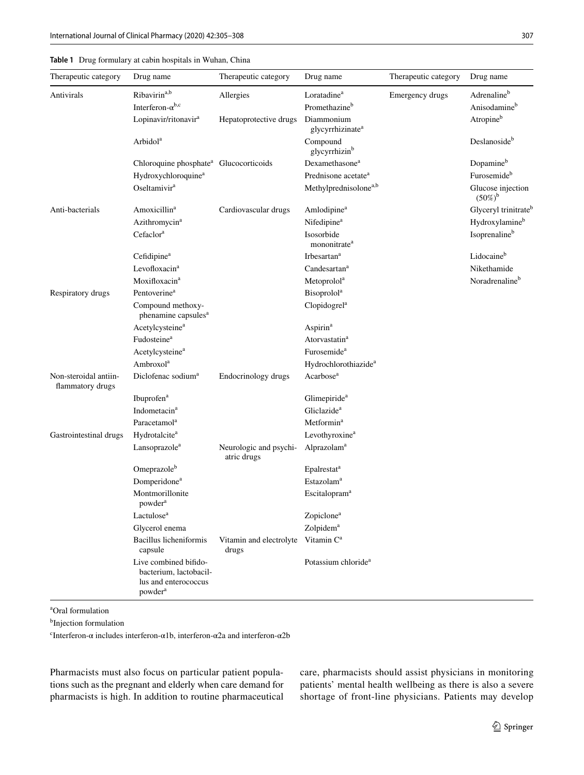<span id="page-2-0"></span>

|  | Table 1 Drug formulary at cabin hospitals in Wuhan, China |  |  |  |
|--|-----------------------------------------------------------|--|--|--|
|--|-----------------------------------------------------------|--|--|--|

| Therapeutic category                      | Drug name                                                                                      | Therapeutic category                  | Drug name                                  | Therapeutic category | Drug name                             |
|-------------------------------------------|------------------------------------------------------------------------------------------------|---------------------------------------|--------------------------------------------|----------------------|---------------------------------------|
| Antivirals                                | Ribavirin <sup>a,b</sup>                                                                       | Allergies                             | Loratadine <sup>a</sup>                    | Emergency drugs      | Adrenalineb                           |
|                                           | Interferon- $\alpha^{b,c}$                                                                     |                                       | Promethazine <sup>b</sup>                  |                      | Anisodamine <sup>b</sup>              |
|                                           | Lopinavir/ritonavir <sup>a</sup>                                                               | Hepatoprotective drugs                | Diammonium<br>glycyrrhizinate <sup>a</sup> |                      | Atropineb                             |
|                                           | Arbidol <sup>a</sup>                                                                           |                                       | Compound<br>glycyrrhizin <sup>b</sup>      |                      | Deslanoside <sup>b</sup>              |
|                                           | Chloroquine phosphate <sup>a</sup> Glucocorticoids                                             |                                       | Dexamethasone <sup>a</sup>                 |                      | Dopamineb                             |
|                                           | Hydroxychloroquine <sup>a</sup>                                                                |                                       | Prednisone acetate <sup>a</sup>            |                      | Furosemideb                           |
|                                           | Oseltamivir <sup>a</sup>                                                                       |                                       | Methylprednisolone <sup>a,b</sup>          |                      | Glucose injection<br>$(50\%)^{\rm b}$ |
| Anti-bacterials                           | Amoxicillin <sup>a</sup>                                                                       | Cardiovascular drugs                  | Amlodipine <sup>a</sup>                    |                      | Glyceryl trinitrate <sup>t</sup>      |
|                                           | Azithromycin <sup>a</sup>                                                                      |                                       | Nifedipine <sup>a</sup>                    |                      | Hydroxylamineb                        |
|                                           | Cefaclor <sup>a</sup>                                                                          |                                       | Isosorbide<br>mononitrate <sup>a</sup>     |                      | Isoprenalineb                         |
|                                           | Cefidipine <sup>a</sup>                                                                        |                                       | Irbesartan <sup>a</sup>                    |                      | Lidocaine <sup>b</sup>                |
|                                           | Levofloxacin <sup>a</sup>                                                                      |                                       | $C$ andesartan <sup>a</sup>                |                      | Nikethamide                           |
|                                           | Moxifloxacin <sup>a</sup>                                                                      |                                       | Metoprolol <sup>a</sup>                    |                      | Noradrenaline <sup>b</sup>            |
| Respiratory drugs                         | Pentoverine <sup>a</sup>                                                                       |                                       | <b>Bisoprolol</b> <sup>a</sup>             |                      |                                       |
|                                           | Compound methoxy-<br>phenamine capsules <sup>a</sup>                                           |                                       | Clopidogrel <sup>a</sup>                   |                      |                                       |
|                                           | Acetylcysteine <sup>a</sup>                                                                    |                                       | Aspirin <sup>a</sup>                       |                      |                                       |
|                                           | Fudosteine <sup>a</sup>                                                                        |                                       | Atorvastatin <sup>a</sup>                  |                      |                                       |
|                                           | Acetylcysteine <sup>a</sup>                                                                    |                                       | Furosemide <sup>a</sup>                    |                      |                                       |
|                                           | Ambroxol <sup>a</sup>                                                                          |                                       | Hydrochlorothiazide <sup>a</sup>           |                      |                                       |
| Non-steroidal antiin-<br>flammatory drugs | Diclofenac sodium <sup>a</sup>                                                                 | Endocrinology drugs                   | Acarbose <sup>a</sup>                      |                      |                                       |
|                                           | Ibuprofen <sup>a</sup>                                                                         |                                       | Glimepiride <sup>a</sup>                   |                      |                                       |
|                                           | Indometacin <sup>a</sup>                                                                       |                                       | Gliclazide <sup>a</sup>                    |                      |                                       |
|                                           | Paracetamol <sup>a</sup>                                                                       |                                       | Metformin <sup>a</sup>                     |                      |                                       |
| Gastrointestinal drugs                    | Hydrotalcite <sup>a</sup>                                                                      |                                       | Levothyroxine <sup>a</sup>                 |                      |                                       |
|                                           | Lansoprazole <sup>a</sup>                                                                      | Neurologic and psychi-<br>atric drugs | Alprazolam <sup>a</sup>                    |                      |                                       |
|                                           | Omeprazole <sup>b</sup>                                                                        |                                       | Epalrestat <sup>a</sup>                    |                      |                                       |
|                                           | Domperidone <sup>a</sup>                                                                       |                                       | Estazolam <sup>a</sup>                     |                      |                                       |
|                                           | Montmorillonite<br>powder <sup>a</sup>                                                         |                                       | Escitalopram <sup>a</sup>                  |                      |                                       |
|                                           | Lactulose <sup>a</sup>                                                                         |                                       | Zopiclone <sup>a</sup>                     |                      |                                       |
|                                           | Glycerol enema                                                                                 |                                       | Zolpidem <sup>a</sup>                      |                      |                                       |
|                                           | Bacillus licheniformis<br>capsule                                                              | Vitamin and electrolyte<br>drugs      | Vitamin C <sup>a</sup>                     |                      |                                       |
|                                           | Live combined bifido-<br>bacterium, lactobacil-<br>lus and enterococcus<br>powder <sup>a</sup> |                                       | Potassium chloride <sup>a</sup>            |                      |                                       |

a Oral formulation

b Injection formulation

<sup>c</sup>Interferon-α includes interferon-α1b, interferon-α2a and interferon-α2b

Pharmacists must also focus on particular patient populations such as the pregnant and elderly when care demand for pharmacists is high. In addition to routine pharmaceutical care, pharmacists should assist physicians in monitoring patients' mental health wellbeing as there is also a severe shortage of front-line physicians. Patients may develop